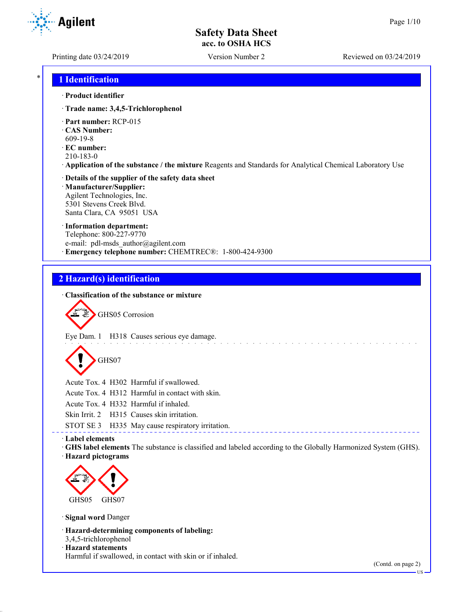**Agilent** 

Printing date 03/24/2019 Version Number 2 Reviewed on 03/24/2019

## \* **1 Identification**

#### · **Product identifier**

- · **Trade name: 3,4,5-Trichlorophenol**
- · **Part number:** RCP-015
- · **CAS Number:**
- 609-19-8
- · **EC number:**
- 210-183-0
- · **Application of the substance / the mixture** Reagents and Standards for Analytical Chemical Laboratory Use

### · **Details of the supplier of the safety data sheet** · **Manufacturer/Supplier:** Agilent Technologies, Inc. 5301 Stevens Creek Blvd.

Santa Clara, CA 95051 USA

# · **Information department:**

Telephone: 800-227-9770 e-mail: pdl-msds author@agilent.com · **Emergency telephone number:** CHEMTREC®: 1-800-424-9300

# **2 Hazard(s) identification**

## · **Classification of the substance or mixture**



GHS05 Corrosion

Eye Dam. 1 H318 Causes serious eye damage.

GHS07

Acute Tox. 4 H302 Harmful if swallowed.

Acute Tox. 4 H312 Harmful in contact with skin.

Acute Tox. 4 H332 Harmful if inhaled.

Skin Irrit. 2 H315 Causes skin irritation.

STOT SE 3 H335 May cause respiratory irritation.

## · **Label elements**

· **GHS label elements** The substance is classified and labeled according to the Globally Harmonized System (GHS).

· **Hazard pictograms**



· **Signal word** Danger

· **Hazard-determining components of labeling:**

3,4,5-trichlorophenol

## · **Hazard statements**

Harmful if swallowed, in contact with skin or if inhaled.

(Contd. on page 2)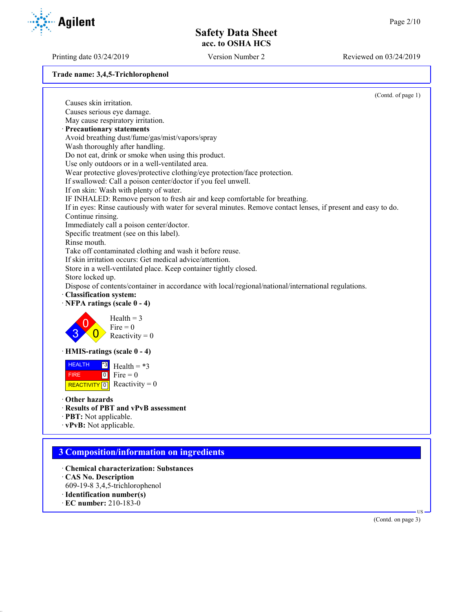Printing date 03/24/2019 Version Number 2 Reviewed on 03/24/2019

**Trade name: 3,4,5-Trichlorophenol**



- 609-19-8 3,4,5-trichlorophenol
- · **Identification number(s)**
- · **EC number:** 210-183-0

(Contd. on page 3)

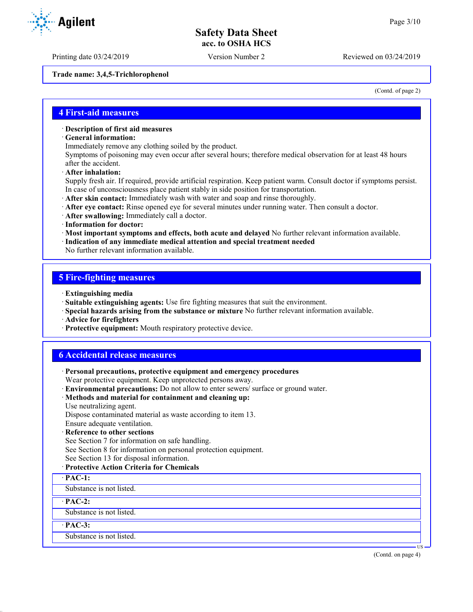**Trade name: 3,4,5-Trichlorophenol**

(Contd. of page 2)

## **4 First-aid measures**

#### · **Description of first aid measures**

· **General information:**

Immediately remove any clothing soiled by the product.

Symptoms of poisoning may even occur after several hours; therefore medical observation for at least 48 hours after the accident.

· **After inhalation:**

Supply fresh air. If required, provide artificial respiration. Keep patient warm. Consult doctor if symptoms persist. In case of unconsciousness place patient stably in side position for transportation.

- · **After skin contact:** Immediately wash with water and soap and rinse thoroughly.
- · **After eye contact:** Rinse opened eye for several minutes under running water. Then consult a doctor.
- · **After swallowing:** Immediately call a doctor.
- · **Information for doctor:**
- · **Most important symptoms and effects, both acute and delayed** No further relevant information available.
- · **Indication of any immediate medical attention and special treatment needed**
- No further relevant information available.

## **5 Fire-fighting measures**

- · **Extinguishing media**
- · **Suitable extinguishing agents:** Use fire fighting measures that suit the environment.
- · **Special hazards arising from the substance or mixture** No further relevant information available.
- · **Advice for firefighters**
- · **Protective equipment:** Mouth respiratory protective device.

## **6 Accidental release measures**

- · **Personal precautions, protective equipment and emergency procedures** Wear protective equipment. Keep unprotected persons away.
- · **Environmental precautions:** Do not allow to enter sewers/ surface or ground water.
- · **Methods and material for containment and cleaning up:**
- Use neutralizing agent.

Dispose contaminated material as waste according to item 13.

Ensure adequate ventilation.

· **Reference to other sections**

See Section 7 for information on safe handling.

See Section 8 for information on personal protection equipment.

- See Section 13 for disposal information.
- · **Protective Action Criteria for Chemicals**
- · **PAC-1:**

Substance is not listed.

#### · **PAC-2:**

Substance is not listed.

· **PAC-3:**

Substance is not listed.





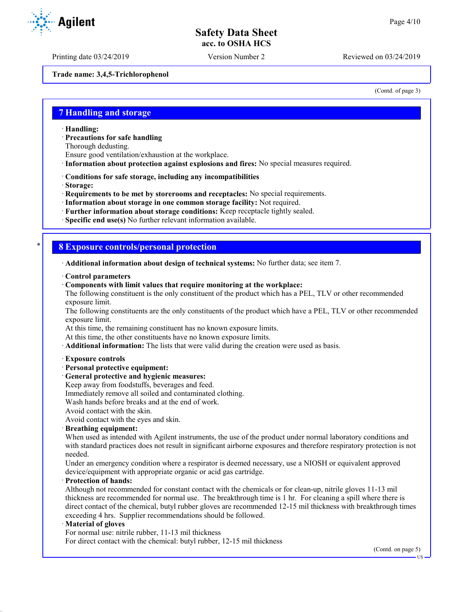Printing date 03/24/2019 Version Number 2 Reviewed on 03/24/2019

**Trade name: 3,4,5-Trichlorophenol**

(Contd. of page 3)

## **7 Handling and storage**

· **Handling:**

· **Precautions for safe handling**

Thorough dedusting.

Ensure good ventilation/exhaustion at the workplace.

· **Information about protection against explosions and fires:** No special measures required.

· **Conditions for safe storage, including any incompatibilities**

· **Storage:**

· **Requirements to be met by storerooms and receptacles:** No special requirements.

· **Information about storage in one common storage facility:** Not required.

· **Further information about storage conditions:** Keep receptacle tightly sealed.

· **Specific end use(s)** No further relevant information available.

## \* **8 Exposure controls/personal protection**

· **Additional information about design of technical systems:** No further data; see item 7.

· **Control parameters**

· **Components with limit values that require monitoring at the workplace:**

The following constituent is the only constituent of the product which has a PEL, TLV or other recommended exposure limit.

The following constituents are the only constituents of the product which have a PEL, TLV or other recommended exposure limit.

At this time, the remaining constituent has no known exposure limits.

At this time, the other constituents have no known exposure limits.

· **Additional information:** The lists that were valid during the creation were used as basis.

#### · **Exposure controls**

· **Personal protective equipment:**

· **General protective and hygienic measures:**

Keep away from foodstuffs, beverages and feed.

Immediately remove all soiled and contaminated clothing.

Wash hands before breaks and at the end of work.

Avoid contact with the skin.

Avoid contact with the eyes and skin.

#### · **Breathing equipment:**

When used as intended with Agilent instruments, the use of the product under normal laboratory conditions and with standard practices does not result in significant airborne exposures and therefore respiratory protection is not needed.

Under an emergency condition where a respirator is deemed necessary, use a NIOSH or equivalent approved device/equipment with appropriate organic or acid gas cartridge.

### · **Protection of hands:**

Although not recommended for constant contact with the chemicals or for clean-up, nitrile gloves 11-13 mil thickness are recommended for normal use. The breakthrough time is 1 hr. For cleaning a spill where there is direct contact of the chemical, butyl rubber gloves are recommended 12-15 mil thickness with breakthrough times exceeding 4 hrs. Supplier recommendations should be followed.

#### · **Material of gloves**

For normal use: nitrile rubber, 11-13 mil thickness

For direct contact with the chemical: butyl rubber, 12-15 mil thickness

(Contd. on page 5)



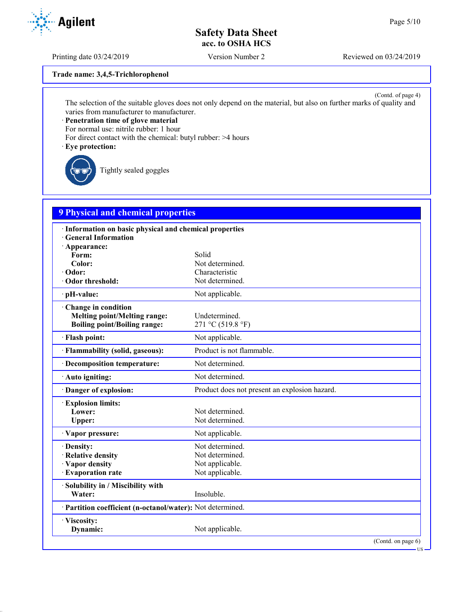Printing date 03/24/2019 Version Number 2 Reviewed on 03/24/2019

**Trade name: 3,4,5-Trichlorophenol**

(Contd. of page 4) The selection of the suitable gloves does not only depend on the material, but also on further marks of quality and varies from manufacturer to manufacturer.

· **Penetration time of glove material**

For normal use: nitrile rubber: 1 hour

For direct contact with the chemical: butyl rubber: >4 hours

· **Eye protection:**

Tightly sealed goggles

# **9 Physical and chemical properties**

| · Information on basic physical and chemical properties    |                                               |
|------------------------------------------------------------|-----------------------------------------------|
| <b>General Information</b><br>· Appearance:                |                                               |
| Form:                                                      | Solid                                         |
| Color:                                                     | Not determined.                               |
| · Odor:                                                    | Characteristic                                |
| · Odor threshold:                                          | Not determined.                               |
| · pH-value:                                                | Not applicable.                               |
| Change in condition                                        |                                               |
| <b>Melting point/Melting range:</b>                        | Undetermined.                                 |
| <b>Boiling point/Boiling range:</b>                        | 271 °C (519.8 °F)                             |
| · Flash point:                                             | Not applicable.                               |
| · Flammability (solid, gaseous):                           | Product is not flammable.                     |
| · Decomposition temperature:                               | Not determined.                               |
| $\cdot$ Auto igniting:                                     | Not determined.                               |
| Danger of explosion:                                       | Product does not present an explosion hazard. |
| <b>Explosion limits:</b>                                   |                                               |
| Lower:                                                     | Not determined.                               |
| Upper:                                                     | Not determined.                               |
| · Vapor pressure:                                          | Not applicable.                               |
| · Density:                                                 | Not determined.                               |
| · Relative density                                         | Not determined.                               |
| · Vapor density                                            | Not applicable.                               |
| · Evaporation rate                                         | Not applicable.                               |
| · Solubility in / Miscibility with                         |                                               |
| Water:                                                     | Insoluble.                                    |
| · Partition coefficient (n-octanol/water): Not determined. |                                               |
| · Viscosity:                                               |                                               |
| Dynamic:                                                   | Not applicable.                               |
|                                                            | (Contd. on page 6)                            |

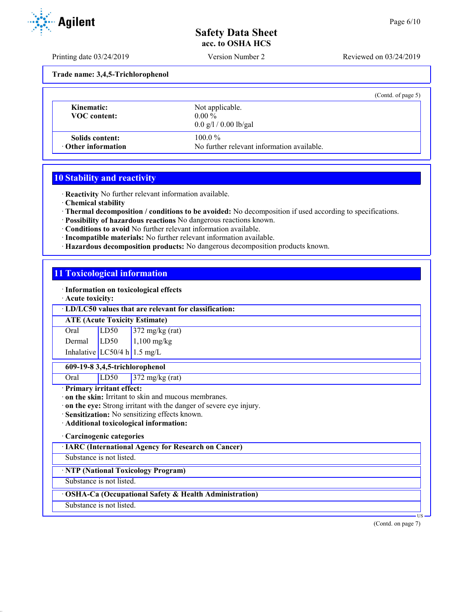Printing date 03/24/2019 Version Number 2 Reviewed on 03/24/2019

**Trade name: 3,4,5-Trichlorophenol**

|                                              | (Contd. of page 5)                                                     |  |
|----------------------------------------------|------------------------------------------------------------------------|--|
| Kinematic:<br><b>VOC</b> content:            | Not applicable.<br>$0.00\%$<br>$0.0 \frac{g}{1} / 0.00 \frac{g}{g}$ al |  |
| Solids content:<br>$\cdot$ Other information | $100.0\%$<br>No further relevant information available.                |  |

## **10 Stability and reactivity**

· **Reactivity** No further relevant information available.

- · **Chemical stability**
- · **Thermal decomposition / conditions to be avoided:** No decomposition if used according to specifications.
- · **Possibility of hazardous reactions** No dangerous reactions known.
- · **Conditions to avoid** No further relevant information available.
- · **Incompatible materials:** No further relevant information available.
- · **Hazardous decomposition products:** No dangerous decomposition products known.

## **11 Toxicological information**

· **Information on toxicological effects**

· **Acute toxicity:**

#### · **LD/LC50 values that are relevant for classification:**

#### **ATE (Acute Toxicity Estimate)**

Oral LD50 372 mg/kg (rat) Dermal  $LD50$  1,100 mg/kg Inhalative  $LC50/4$  h 1.5 mg/L

## **609-19-8 3,4,5-trichlorophenol**

Oral LD50 372 mg/kg (rat)

## · **Primary irritant effect:**

· **on the skin:** Irritant to skin and mucous membranes.

- · **on the eye:** Strong irritant with the danger of severe eye injury.
- · **Sensitization:** No sensitizing effects known.
- · **Additional toxicological information:**

#### · **Carcinogenic categories**

· **IARC (International Agency for Research on Cancer)**

Substance is not listed.

· **NTP (National Toxicology Program)**

Substance is not listed.

## · **OSHA-Ca (Occupational Safety & Health Administration)**

Substance is not listed.

(Contd. on page 7)

**T**<sub>I</sub>C

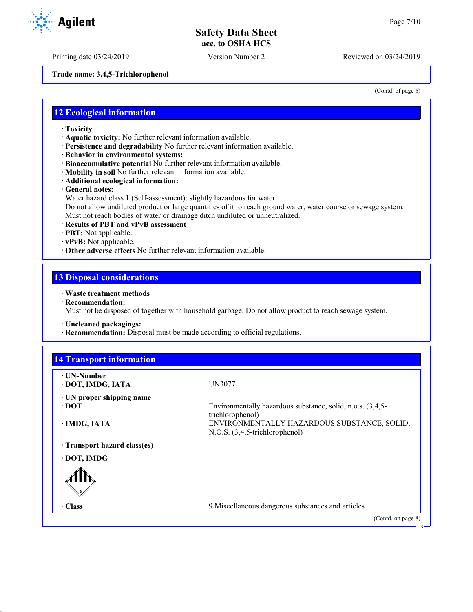Printing date 03/24/2019 Version Number 2 Reviewed on 03/24/2019

**Trade name: 3,4,5-Trichlorophenol**

(Contd. of page 6)

## **12 Ecological information**

- · **Toxicity**
- · **Aquatic toxicity:** No further relevant information available.
- · **Persistence and degradability** No further relevant information available.
- · **Behavior in environmental systems:**
- · **Bioaccumulative potential** No further relevant information available.
- · **Mobility in soil** No further relevant information available.
- · **Additional ecological information:**
- · **General notes:**
- Water hazard class 1 (Self-assessment): slightly hazardous for water

Do not allow undiluted product or large quantities of it to reach ground water, water course or sewage system. Must not reach bodies of water or drainage ditch undiluted or unneutralized.

- · **Results of PBT and vPvB assessment**
- · **PBT:** Not applicable.
- · **vPvB:** Not applicable.
- · **Other adverse effects** No further relevant information available.

## **13 Disposal considerations**

## · **Waste treatment methods**

· **Recommendation:**

Must not be disposed of together with household garbage. Do not allow product to reach sewage system.

- · **Uncleaned packagings:**
- · **Recommendation:** Disposal must be made according to official regulations.

| Environmentally hazardous substance, solid, n.o.s. (3,4,5-<br>trichlorophenol)<br>ENVIRONMENTALLY HAZARDOUS SUBSTANCE, SOLID,<br>N.O.S. (3,4,5-trichlorophenol) |
|-----------------------------------------------------------------------------------------------------------------------------------------------------------------|
|                                                                                                                                                                 |
|                                                                                                                                                                 |
|                                                                                                                                                                 |
|                                                                                                                                                                 |
|                                                                                                                                                                 |
| 9 Miscellaneous dangerous substances and articles                                                                                                               |
|                                                                                                                                                                 |

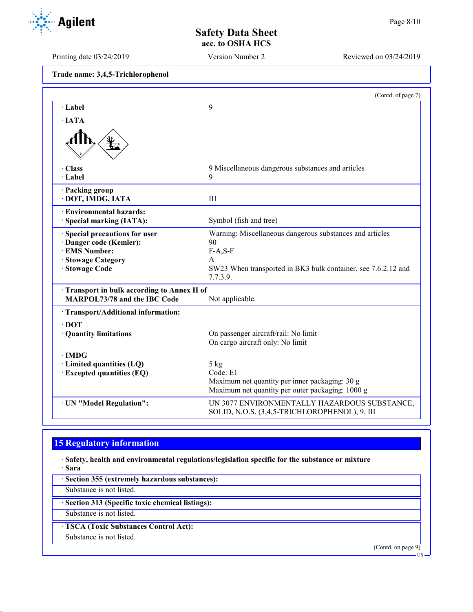Printing date 03/24/2019 Version Number 2 Reviewed on 03/24/2019

**Trade name: 3,4,5-Trichlorophenol**

|                                                                                   | (Contd. of page 7)                                                                                 |
|-----------------------------------------------------------------------------------|----------------------------------------------------------------------------------------------------|
| · Label                                                                           | 9                                                                                                  |
| $\cdot$ JATA                                                                      |                                                                                                    |
|                                                                                   |                                                                                                    |
| · Class                                                                           | 9 Miscellaneous dangerous substances and articles                                                  |
| $\cdot$ Label                                                                     | 9                                                                                                  |
| · Packing group<br>· DOT, IMDG, IATA                                              | III                                                                                                |
| · Environmental hazards:<br>· Special marking (IATA):                             | Symbol (fish and tree)                                                                             |
| Special precautions for user                                                      | Warning: Miscellaneous dangerous substances and articles                                           |
| · Danger code (Kemler):                                                           | 90                                                                                                 |
| <b>EMS Number:</b>                                                                | $F-A, S-F$                                                                                         |
| · Stowage Category<br>· Stowage Code                                              | A<br>SW23 When transported in BK3 bulk container, see 7.6.2.12 and<br>7.7.3.9.                     |
| Transport in bulk according to Annex II of<br><b>MARPOL73/78 and the IBC Code</b> | Not applicable.                                                                                    |
| · Transport/Additional information:                                               |                                                                                                    |
| $\cdot$ DOT                                                                       |                                                                                                    |
| · Quantity limitations                                                            | On passenger aircraft/rail: No limit                                                               |
|                                                                                   | On cargo aircraft only: No limit                                                                   |
| $\cdot$ IMDG                                                                      |                                                                                                    |
| · Limited quantities (LQ)                                                         | 5 kg                                                                                               |
| <b>Excepted quantities (EQ)</b>                                                   | Code: E1                                                                                           |
|                                                                                   | Maximum net quantity per inner packaging: 30 g<br>Maximum net quantity per outer packaging: 1000 g |
|                                                                                   |                                                                                                    |
| · UN "Model Regulation":                                                          | UN 3077 ENVIRONMENTALLY HAZARDOUS SUBSTANCE,<br>SOLID, N.O.S. (3,4,5-TRICHLOROPHENOL), 9, III      |

# **15 Regulatory information**

· **Safety, health and environmental regulations/legislation specific for the substance or mixture** · **Sara**

· **Section 355 (extremely hazardous substances):** Substance is not listed. · **Section 313 (Specific toxic chemical listings):** Substance is not listed. · **TSCA (Toxic Substances Control Act):** Substance is not listed. (Contd. on page 9)

 $\overline{\mathbf{U}}$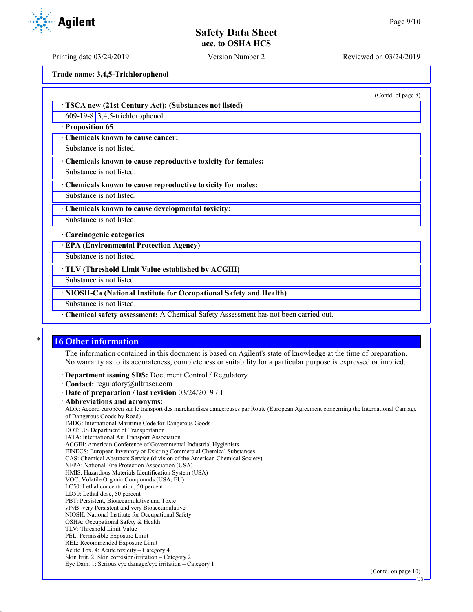Printing date 03/24/2019 Version Number 2 Reviewed on 03/24/2019

**Trade name: 3,4,5-Trichlorophenol**

(Contd. of page 8)

· **TSCA new (21st Century Act): (Substances not listed)**

609-19-8 3,4,5-trichlorophenol

· **Proposition 65**

· **Chemicals known to cause cancer:**

Substance is not listed.

· **Chemicals known to cause reproductive toxicity for females:**

Substance is not listed.

· **Chemicals known to cause reproductive toxicity for males:**

Substance is not listed.

· **Chemicals known to cause developmental toxicity:**

Substance is not listed.

· **Carcinogenic categories**

· **EPA (Environmental Protection Agency)**

Substance is not listed.

· **TLV (Threshold Limit Value established by ACGIH)**

Substance is not listed.

· **NIOSH-Ca (National Institute for Occupational Safety and Health)**

Substance is not listed.

· **Chemical safety assessment:** A Chemical Safety Assessment has not been carried out.

## **16 Other information**

The information contained in this document is based on Agilent's state of knowledge at the time of preparation. No warranty as to its accurateness, completeness or suitability for a particular purpose is expressed or implied.

· **Department issuing SDS:** Document Control / Regulatory

· **Contact:** regulatory@ultrasci.com

· **Date of preparation / last revision** 03/24/2019 / 1

· **Abbreviations and acronyms:**

ADR: Accord européen sur le transport des marchandises dangereuses par Route (European Agreement concerning the International Carriage of Dangerous Goods by Road)

IMDG: International Maritime Code for Dangerous Goods

DOT: US Department of Transportation

IATA: International Air Transport Association

ACGIH: American Conference of Governmental Industrial Hygienists EINECS: European Inventory of Existing Commercial Chemical Substances

CAS: Chemical Abstracts Service (division of the American Chemical Society)

NFPA: National Fire Protection Association (USA)

HMIS: Hazardous Materials Identification System (USA)

VOC: Volatile Organic Compounds (USA, EU)

LC50: Lethal concentration, 50 percent

LD50: Lethal dose, 50 percent

PBT: Persistent, Bioaccumulative and Toxic vPvB: very Persistent and very Bioaccumulative

NIOSH: National Institute for Occupational Safety

OSHA: Occupational Safety & Health

TLV: Threshold Limit Value

PEL: Permissible Exposure Limit

REL: Recommended Exposure Limit

Acute Tox. 4: Acute toxicity – Category 4 Skin Irrit. 2: Skin corrosion/irritation – Category 2

Eye Dam. 1: Serious eye damage/eye irritation – Category 1